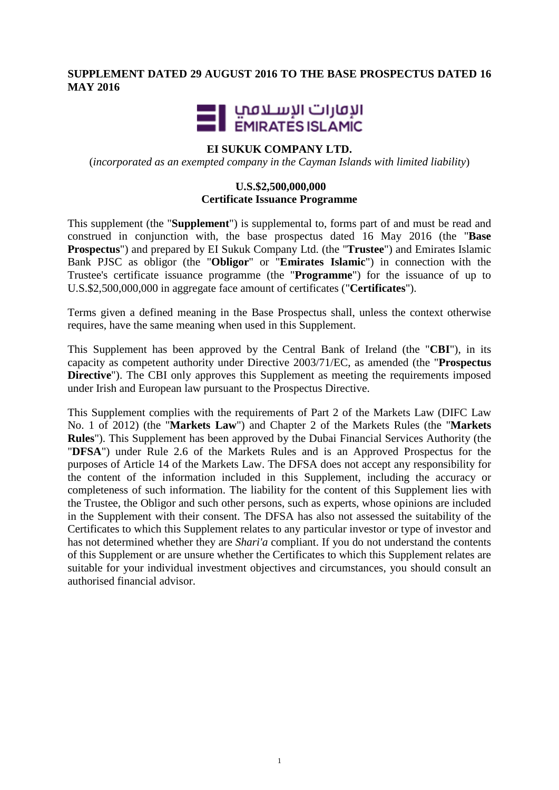# **SUPPLEMENT DATED 29 AUGUST 2016 TO THE BASE PROSPECTUS DATED 16 MAY 2016**



## **EI SUKUK COMPANY LTD.**

(*incorporated as an exempted company in the Cayman Islands with limited liability*)

## **U.S.\$2,500,000,000 Certificate Issuance Programme**

This supplement (the "**Supplement**") is supplemental to, forms part of and must be read and construed in conjunction with, the base prospectus dated 16 May 2016 (the "**Base Prospectus**") and prepared by EI Sukuk Company Ltd. (the "**Trustee**") and Emirates Islamic Bank PJSC as obligor (the "**Obligor**" or "**Emirates Islamic**") in connection with the Trustee's certificate issuance programme (the "**Programme**") for the issuance of up to U.S.\$2,500,000,000 in aggregate face amount of certificates ("**Certificates**").

Terms given a defined meaning in the Base Prospectus shall, unless the context otherwise requires, have the same meaning when used in this Supplement.

This Supplement has been approved by the Central Bank of Ireland (the "**CBI**"), in its capacity as competent authority under Directive 2003/71/EC, as amended (the "**Prospectus Directive**"). The CBI only approves this Supplement as meeting the requirements imposed under Irish and European law pursuant to the Prospectus Directive.

This Supplement complies with the requirements of Part 2 of the Markets Law (DIFC Law No. 1 of 2012) (the "**Markets Law**") and Chapter 2 of the Markets Rules (the "**Markets Rules**"). This Supplement has been approved by the Dubai Financial Services Authority (the "**DFSA**") under Rule 2.6 of the Markets Rules and is an Approved Prospectus for the purposes of Article 14 of the Markets Law. The DFSA does not accept any responsibility for the content of the information included in this Supplement, including the accuracy or completeness of such information. The liability for the content of this Supplement lies with the Trustee, the Obligor and such other persons, such as experts, whose opinions are included in the Supplement with their consent. The DFSA has also not assessed the suitability of the Certificates to which this Supplement relates to any particular investor or type of investor and has not determined whether they are *Shari'a* compliant. If you do not understand the contents of this Supplement or are unsure whether the Certificates to which this Supplement relates are suitable for your individual investment objectives and circumstances, you should consult an authorised financial advisor.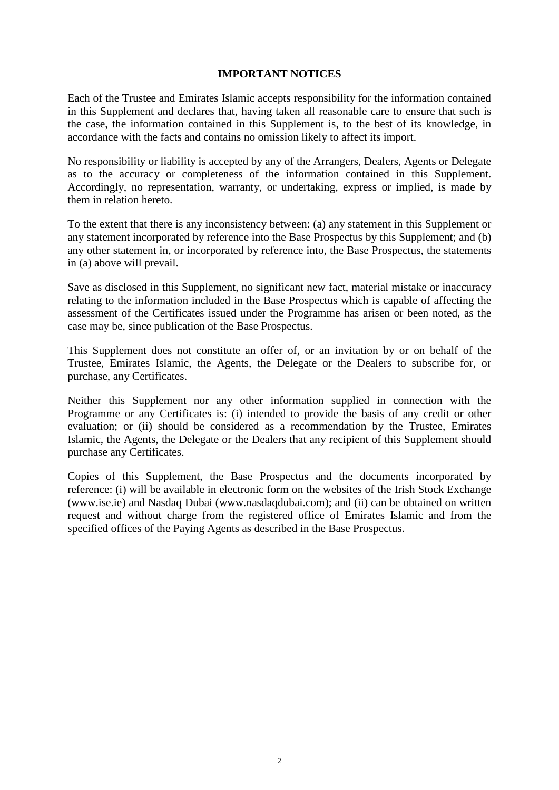### **IMPORTANT NOTICES**

Each of the Trustee and Emirates Islamic accepts responsibility for the information contained in this Supplement and declares that, having taken all reasonable care to ensure that such is the case, the information contained in this Supplement is, to the best of its knowledge, in accordance with the facts and contains no omission likely to affect its import.

No responsibility or liability is accepted by any of the Arrangers, Dealers, Agents or Delegate as to the accuracy or completeness of the information contained in this Supplement. Accordingly, no representation, warranty, or undertaking, express or implied, is made by them in relation hereto.

To the extent that there is any inconsistency between: (a) any statement in this Supplement or any statement incorporated by reference into the Base Prospectus by this Supplement; and (b) any other statement in, or incorporated by reference into, the Base Prospectus, the statements in (a) above will prevail.

Save as disclosed in this Supplement, no significant new fact, material mistake or inaccuracy relating to the information included in the Base Prospectus which is capable of affecting the assessment of the Certificates issued under the Programme has arisen or been noted, as the case may be, since publication of the Base Prospectus.

This Supplement does not constitute an offer of, or an invitation by or on behalf of the Trustee, Emirates Islamic, the Agents, the Delegate or the Dealers to subscribe for, or purchase, any Certificates.

Neither this Supplement nor any other information supplied in connection with the Programme or any Certificates is: (i) intended to provide the basis of any credit or other evaluation; or (ii) should be considered as a recommendation by the Trustee, Emirates Islamic, the Agents, the Delegate or the Dealers that any recipient of this Supplement should purchase any Certificates.

Copies of this Supplement, the Base Prospectus and the documents incorporated by reference: (i) will be available in electronic form on the websites of the Irish Stock Exchange (www.ise.ie) and Nasdaq Dubai (www.nasdaqdubai.com); and (ii) can be obtained on written request and without charge from the registered office of Emirates Islamic and from the specified offices of the Paying Agents as described in the Base Prospectus.